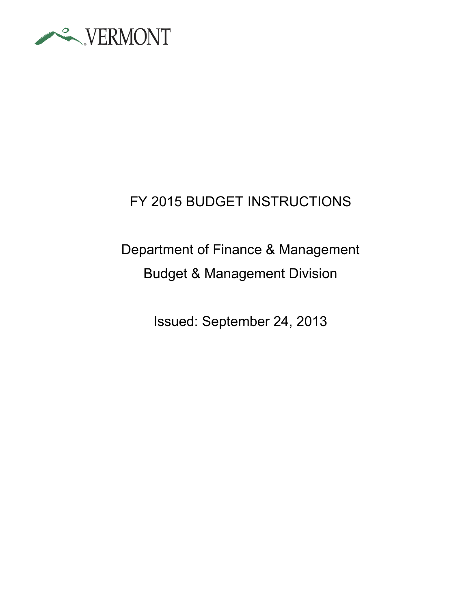

# FY 2015 BUDGET INSTRUCTIONS

# Department of Finance & Management Budget & Management Division

Issued: September 24, 2013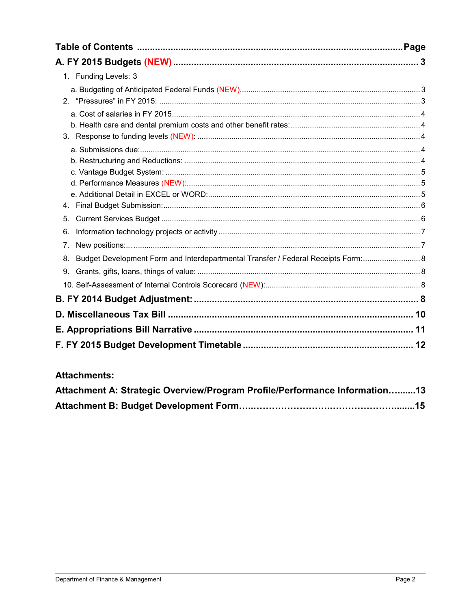| 1. Funding Levels: 3                                                                    |  |
|-----------------------------------------------------------------------------------------|--|
|                                                                                         |  |
|                                                                                         |  |
|                                                                                         |  |
|                                                                                         |  |
|                                                                                         |  |
|                                                                                         |  |
|                                                                                         |  |
|                                                                                         |  |
|                                                                                         |  |
|                                                                                         |  |
| 5.                                                                                      |  |
| 6.                                                                                      |  |
| 7.                                                                                      |  |
| Budget Development Form and Interdepartmental Transfer / Federal Receipts Form: 8<br>8. |  |
| 9.                                                                                      |  |
|                                                                                         |  |
|                                                                                         |  |
|                                                                                         |  |
|                                                                                         |  |
|                                                                                         |  |

# **Attachments:**

| Attachment A: Strategic Overview/Program Profile/Performance Information13 |  |
|----------------------------------------------------------------------------|--|
|                                                                            |  |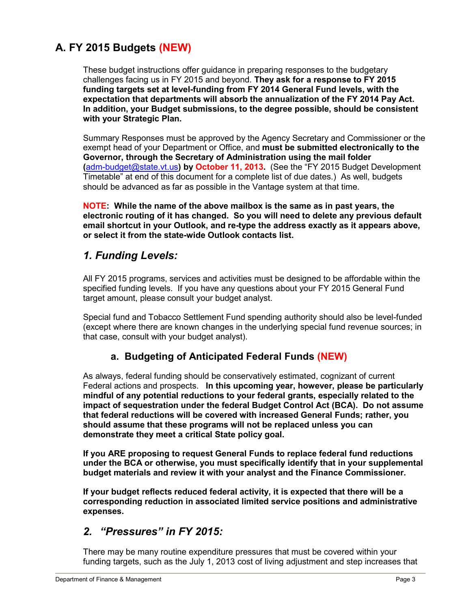# **A. FY 2015 Budgets (NEW)**

These budget instructions offer guidance in preparing responses to the budgetary challenges facing us in FY 2015 and beyond. **They ask for a response to FY 2015 funding targets set at level-funding from FY 2014 General Fund levels, with the expectation that departments will absorb the annualization of the FY 2014 Pay Act. In addition, your Budget submissions, to the degree possible, should be consistent with your Strategic Plan.**

Summary Responses must be approved by the Agency Secretary and Commissioner or the exempt head of your Department or Office, and **must be submitted electronically to the Governor, through the Secretary of Administration using the mail folder (**[adm-budget@state.vt.us](mailto:mailtoadm-budget@state.vt.us)**) by October 11, 2013.** (See the "FY 2015 Budget Development Timetable" at end of this document for a complete list of due dates.) As well, budgets should be advanced as far as possible in the Vantage system at that time.

**NOTE: While the name of the above mailbox is the same as in past years, the electronic routing of it has changed. So you will need to delete any previous default email shortcut in your Outlook, and re-type the address exactly as it appears above, or select it from the state-wide Outlook contacts list.**

### *1. Funding Levels:*

All FY 2015 programs, services and activities must be designed to be affordable within the specified funding levels. If you have any questions about your FY 2015 General Fund target amount, please consult your budget analyst.

Special fund and Tobacco Settlement Fund spending authority should also be level-funded (except where there are known changes in the underlying special fund revenue sources; in that case, consult with your budget analyst).

### **a. Budgeting of Anticipated Federal Funds (NEW)**

As always, federal funding should be conservatively estimated, cognizant of current Federal actions and prospects. **In this upcoming year, however, please be particularly mindful of any potential reductions to your federal grants, especially related to the impact of sequestration under the federal Budget Control Act (BCA). Do not assume that federal reductions will be covered with increased General Funds; rather, you should assume that these programs will not be replaced unless you can demonstrate they meet a critical State policy goal.** 

**If you ARE proposing to request General Funds to replace federal fund reductions under the BCA or otherwise, you must specifically identify that in your supplemental budget materials and review it with your analyst and the Finance Commissioner.** 

**If your budget reflects reduced federal activity, it is expected that there will be a corresponding reduction in associated limited service positions and administrative expenses.**

### *2. "Pressures" in FY 2015:*

There may be many routine expenditure pressures that must be covered within your funding targets, such as the July 1, 2013 cost of living adjustment and step increases that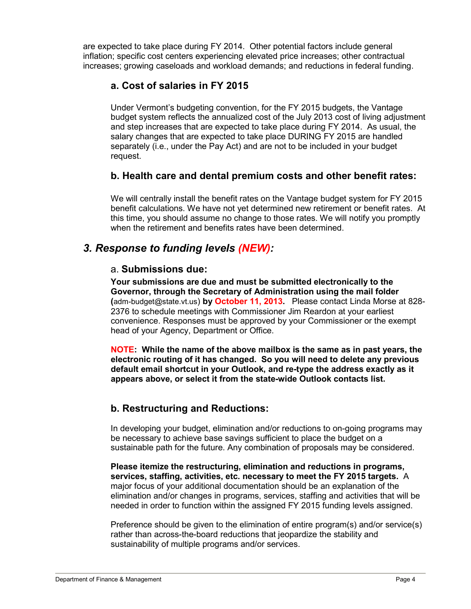are expected to take place during FY 2014. Other potential factors include general inflation; specific cost centers experiencing elevated price increases; other contractual increases; growing caseloads and workload demands; and reductions in federal funding.

### **a. Cost of salaries in FY 2015**

Under Vermont's budgeting convention, for the FY 2015 budgets, the Vantage budget system reflects the annualized cost of the July 2013 cost of living adjustment and step increases that are expected to take place during FY 2014. As usual, the salary changes that are expected to take place DURING FY 2015 are handled separately (i.e., under the Pay Act) and are not to be included in your budget request.

#### **b. Health care and dental premium costs and other benefit rates:**

We will centrally install the benefit rates on the Vantage budget system for FY 2015 benefit calculations. We have not yet determined new retirement or benefit rates. At this time, you should assume no change to those rates. We will notify you promptly when the retirement and benefits rates have been determined.

# *3. Response to funding levels (NEW):*

#### a. **Submissions due:**

**Your submissions are due and must be submitted electronically to the Governor, through the Secretary of Administration using the mail folder (**adm-budget@state.vt.us) **by October 11, 2013.** Please contact Linda Morse at 828- 2376 to schedule meetings with Commissioner Jim Reardon at your earliest convenience. Responses must be approved by your Commissioner or the exempt head of your Agency, Department or Office.

**NOTE: While the name of the above mailbox is the same as in past years, the electronic routing of it has changed. So you will need to delete any previous default email shortcut in your Outlook, and re-type the address exactly as it appears above, or select it from the state-wide Outlook contacts list.**

### **b. Restructuring and Reductions:**

In developing your budget, elimination and/or reductions to on-going programs may be necessary to achieve base savings sufficient to place the budget on a sustainable path for the future. Any combination of proposals may be considered.

**Please itemize the restructuring, elimination and reductions in programs, services, staffing, activities, etc. necessary to meet the FY 2015 targets.** A major focus of your additional documentation should be an explanation of the elimination and/or changes in programs, services, staffing and activities that will be needed in order to function within the assigned FY 2015 funding levels assigned.

Preference should be given to the elimination of entire program(s) and/or service(s) rather than across-the-board reductions that jeopardize the stability and sustainability of multiple programs and/or services.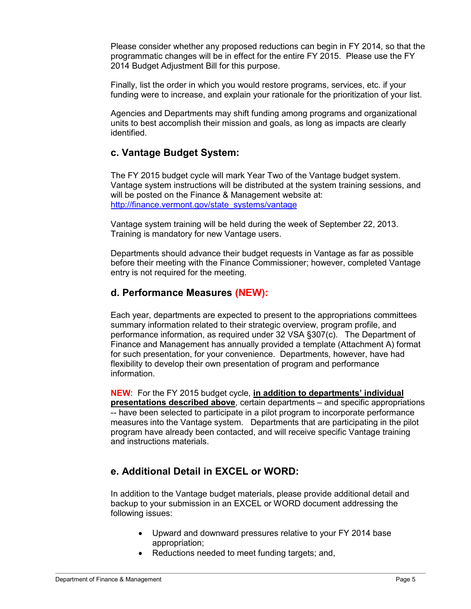Please consider whether any proposed reductions can begin in FY 2014, so that the programmatic changes will be in effect for the entire FY 2015. Please use the FY 2014 Budget Adjustment Bill for this purpose.

Finally, list the order in which you would restore programs, services, etc. if your funding were to increase, and explain your rationale for the prioritization of your list.

Agencies and Departments may shift funding among programs and organizational units to best accomplish their mission and goals, as long as impacts are clearly identified.

#### **c. Vantage Budget System:**

The FY 2015 budget cycle will mark Year Two of the Vantage budget system. Vantage system instructions will be distributed at the system training sessions, and will be posted on the Finance & Management website at: [http://finance.vermont.gov/state\\_systems/vantage](http://finance.vermont.gov/state_systems/vantage)

Vantage system training will be held during the week of September 22, 2013. Training is mandatory for new Vantage users.

Departments should advance their budget requests in Vantage as far as possible before their meeting with the Finance Commissioner; however, completed Vantage entry is not required for the meeting.

#### **d. Performance Measures (NEW):**

Each year, departments are expected to present to the appropriations committees summary information related to their strategic overview, program profile, and performance information, as required under 32 VSA §307(c). The Department of Finance and Management has annually provided a template (Attachment A) format for such presentation, for your convenience. Departments, however, have had flexibility to develop their own presentation of program and performance information.

**NEW**: For the FY 2015 budget cycle, **in addition to departments' individual presentations described above**, certain departments – and specific appropriations -- have been selected to participate in a pilot program to incorporate performance measures into the Vantage system. Departments that are participating in the pilot program have already been contacted, and will receive specific Vantage training and instructions materials.

#### **e. Additional Detail in EXCEL or WORD:**

In addition to the Vantage budget materials, please provide additional detail and backup to your submission in an EXCEL or WORD document addressing the following issues:

- Upward and downward pressures relative to your FY 2014 base appropriation;
- Reductions needed to meet funding targets; and,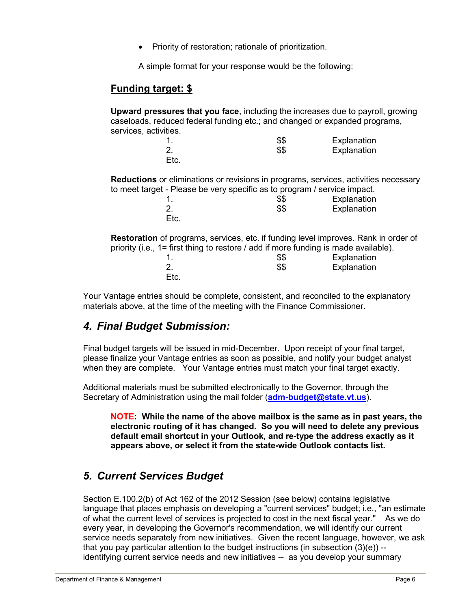• Priority of restoration; rationale of prioritization.

A simple format for your response would be the following:

### **Funding target: \$**

**Upward pressures that you face**, including the increases due to payroll, growing caseloads, reduced federal funding etc.; and changed or expanded programs, services, activities.

|      | \$\$ | Explanation |
|------|------|-------------|
|      | \$\$ | Explanation |
| Etc. |      |             |

**Reductions** or eliminations or revisions in programs, services, activities necessary to meet target - Please be very specific as to program / service impact.

|      | \$\$ | Explanation |
|------|------|-------------|
|      | \$\$ | Explanation |
| Etc. |      |             |

**Restoration** of programs, services, etc. if funding level improves. Rank in order of priority (i.e., 1= first thing to restore / add if more funding is made available). 1. \$\$ Explanation **Explanation** 

Your Vantage entries should be complete, consistent, and reconciled to the explanatory materials above, at the time of the meeting with the Finance Commissioner.

# *4. Final Budget Submission:*

Etc.

Final budget targets will be issued in mid-December. Upon receipt of your final target, please finalize your Vantage entries as soon as possible, and notify your budget analyst when they are complete. Your Vantage entries must match your final target exactly.

Additional materials must be submitted electronically to the Governor, through the Secretary of Administration using the mail folder (**[adm-budget@state.vt.us](mailto:mailtoadm-budget@state.vt.us)**).

**NOTE: While the name of the above mailbox is the same as in past years, the electronic routing of it has changed. So you will need to delete any previous default email shortcut in your Outlook, and re-type the address exactly as it appears above, or select it from the state-wide Outlook contacts list.**

# *5. Current Services Budget*

Section E.100.2(b) of Act 162 of the 2012 Session (see below) contains legislative language that places emphasis on developing a "current services" budget; i.e., "an estimate of what the current level of services is projected to cost in the next fiscal year." As we do every year, in developing the Governor's recommendation, we will identify our current service needs separately from new initiatives. Given the recent language, however, we ask that you pay particular attention to the budget instructions (in subsection  $(3)(e)$ ) -identifying current service needs and new initiatives -- as you develop your summary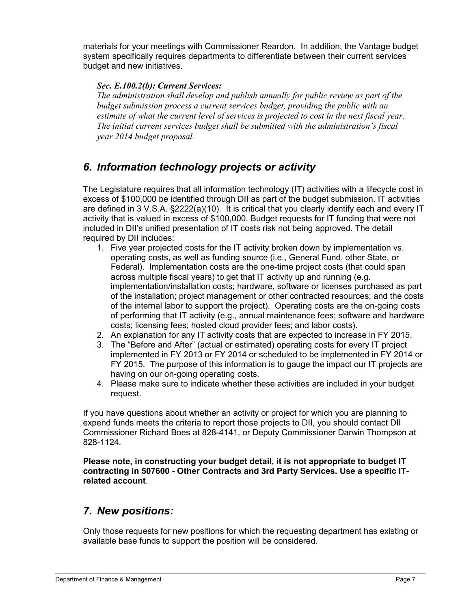materials for your meetings with Commissioner Reardon. In addition, the Vantage budget system specifically requires departments to differentiate between their current services budget and new initiatives.

#### *Sec. E.100.2(b): Current Services:*

*The administration shall develop and publish annually for public review as part of the budget submission process a current services budget, providing the public with an estimate of what the current level of services is projected to cost in the next fiscal year. The initial current services budget shall be submitted with the administration's fiscal year 2014 budget proposal.*

# *6. Information technology projects or activity*

The Legislature requires that all information technology (IT) activities with a lifecycle cost in excess of \$100,000 be identified through DII as part of the budget submission. IT activities are defined in 3 V.S.A. §2222(a)(10). It is critical that you clearly identify each and every IT activity that is valued in excess of \$100,000. Budget requests for IT funding that were not included in DII's unified presentation of IT costs risk not being approved. The detail required by DII includes:

- 1. Five year projected costs for the IT activity broken down by implementation vs. operating costs, as well as funding source (i.e., General Fund, other State, or Federal). Implementation costs are the one-time project costs (that could span across multiple fiscal years) to get that IT activity up and running (e.g. implementation/installation costs; hardware, software or licenses purchased as part of the installation; project management or other contracted resources; and the costs of the internal labor to support the project). Operating costs are the on-going costs of performing that IT activity (e.g., annual maintenance fees; software and hardware costs; licensing fees; hosted cloud provider fees; and labor costs).
- 2. An explanation for any IT activity costs that are expected to increase in FY 2015.
- 3. The "Before and After" (actual or estimated) operating costs for every IT project implemented in FY 2013 or FY 2014 or scheduled to be implemented in FY 2014 or FY 2015. The purpose of this information is to gauge the impact our IT projects are having on our on-going operating costs.
- 4. Please make sure to indicate whether these activities are included in your budget request.

If you have questions about whether an activity or project for which you are planning to expend funds meets the criteria to report those projects to DII, you should contact DII Commissioner Richard Boes at 828-4141, or Deputy Commissioner Darwin Thompson at 828-1124.

**Please note, in constructing your budget detail, it is not appropriate to budget IT contracting in 507600 - Other Contracts and 3rd Party Services. Use a specific ITrelated account**.

### *7. New positions:*

Only those requests for new positions for which the requesting department has existing or available base funds to support the position will be considered.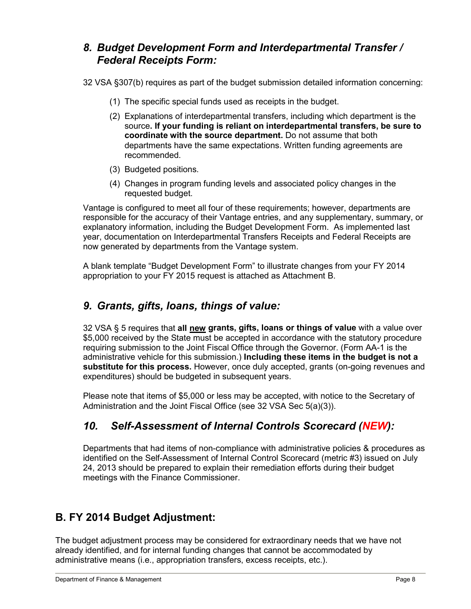# *8. Budget Development Form and Interdepartmental Transfer / Federal Receipts Form:*

32 VSA §307(b) requires as part of the budget submission detailed information concerning:

- (1) The specific special funds used as receipts in the budget.
- (2) Explanations of interdepartmental transfers, including which department is the source**. If your funding is reliant on interdepartmental transfers, be sure to coordinate with the source department.** Do not assume that both departments have the same expectations. Written funding agreements are recommended.
- (3) Budgeted positions.
- (4) Changes in program funding levels and associated policy changes in the requested budget.

Vantage is configured to meet all four of these requirements; however, departments are responsible for the accuracy of their Vantage entries, and any supplementary, summary, or explanatory information, including the Budget Development Form. As implemented last year, documentation on Interdepartmental Transfers Receipts and Federal Receipts are now generated by departments from the Vantage system.

A blank template "Budget Development Form" to illustrate changes from your FY 2014 appropriation to your FY 2015 request is attached as Attachment B.

# *9. Grants, gifts, loans, things of value:*

32 VSA § 5 requires that **all new grants, gifts, loans or things of value** with a value over \$5,000 received by the State must be accepted in accordance with the statutory procedure requiring submission to the Joint Fiscal Office through the Governor. (Form AA-1 is the administrative vehicle for this submission.) **Including these items in the budget is not a substitute for this process.** However, once duly accepted, grants (on-going revenues and expenditures) should be budgeted in subsequent years.

Please note that items of \$5,000 or less may be accepted, with notice to the Secretary of Administration and the Joint Fiscal Office (see 32 VSA Sec 5(a)(3)).

# *10. Self-Assessment of Internal Controls Scorecard (NEW):*

Departments that had items of non-compliance with administrative policies & procedures as identified on the Self-Assessment of Internal Control Scorecard (metric #3) issued on July 24, 2013 should be prepared to explain their remediation efforts during their budget meetings with the Finance Commissioner.

# **B. FY 2014 Budget Adjustment:**

The budget adjustment process may be considered for extraordinary needs that we have not already identified, and for internal funding changes that cannot be accommodated by administrative means (i.e., appropriation transfers, excess receipts, etc.).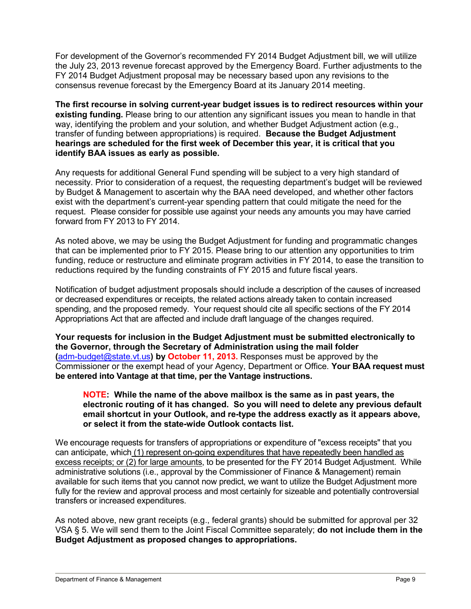For development of the Governor's recommended FY 2014 Budget Adjustment bill, we will utilize the July 23, 2013 revenue forecast approved by the Emergency Board. Further adjustments to the FY 2014 Budget Adjustment proposal may be necessary based upon any revisions to the consensus revenue forecast by the Emergency Board at its January 2014 meeting.

**The first recourse in solving current-year budget issues is to redirect resources within your existing funding.** Please bring to our attention any significant issues you mean to handle in that way, identifying the problem and your solution, and whether Budget Adjustment action (e.g., transfer of funding between appropriations) is required. **Because the Budget Adjustment hearings are scheduled for the first week of December this year, it is critical that you identify BAA issues as early as possible.**

Any requests for additional General Fund spending will be subject to a very high standard of necessity. Prior to consideration of a request, the requesting department's budget will be reviewed by Budget & Management to ascertain why the BAA need developed, and whether other factors exist with the department's current-year spending pattern that could mitigate the need for the request. Please consider for possible use against your needs any amounts you may have carried forward from FY 2013 to FY 2014.

As noted above, we may be using the Budget Adjustment for funding and programmatic changes that can be implemented prior to FY 2015. Please bring to our attention any opportunities to trim funding, reduce or restructure and eliminate program activities in FY 2014, to ease the transition to reductions required by the funding constraints of FY 2015 and future fiscal years.

Notification of budget adjustment proposals should include a description of the causes of increased or decreased expenditures or receipts, the related actions already taken to contain increased spending, and the proposed remedy. Your request should cite all specific sections of the FY 2014 Appropriations Act that are affected and include draft language of the changes required.

**Your requests for inclusion in the Budget Adjustment must be submitted electronically to the Governor, through the Secretary of Administration using the mail folder (**[adm-budget@state.vt.us](mailto:mailtoadm-budget@state.vt.us)**) by October 11, 2013.** Responses must be approved by the Commissioner or the exempt head of your Agency, Department or Office. **Your BAA request must be entered into Vantage at that time, per the Vantage instructions.**

#### **NOTE: While the name of the above mailbox is the same as in past years, the electronic routing of it has changed. So you will need to delete any previous default email shortcut in your Outlook, and re-type the address exactly as it appears above, or select it from the state-wide Outlook contacts list.**

We encourage requests for transfers of appropriations or expenditure of "excess receipts" that you can anticipate, which (1) represent on-going expenditures that have repeatedly been handled as excess receipts; or (2) for large amounts, to be presented for the FY 2014 Budget Adjustment. While administrative solutions (i.e., approval by the Commissioner of Finance & Management) remain available for such items that you cannot now predict, we want to utilize the Budget Adjustment more fully for the review and approval process and most certainly for sizeable and potentially controversial transfers or increased expenditures.

As noted above, new grant receipts (e.g., federal grants) should be submitted for approval per 32 VSA § 5. We will send them to the Joint Fiscal Committee separately; **do not include them in the Budget Adjustment as proposed changes to appropriations.**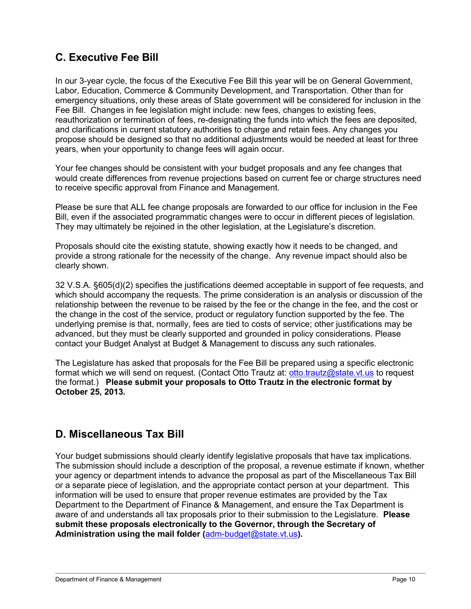# **C. Executive Fee Bill**

In our 3-year cycle, the focus of the Executive Fee Bill this year will be on General Government, Labor, Education, Commerce & Community Development, and Transportation. Other than for emergency situations, only these areas of State government will be considered for inclusion in the Fee Bill. Changes in fee legislation might include: new fees, changes to existing fees, reauthorization or termination of fees, re-designating the funds into which the fees are deposited, and clarifications in current statutory authorities to charge and retain fees. Any changes you propose should be designed so that no additional adjustments would be needed at least for three years, when your opportunity to change fees will again occur.

Your fee changes should be consistent with your budget proposals and any fee changes that would create differences from revenue projections based on current fee or charge structures need to receive specific approval from Finance and Management.

Please be sure that ALL fee change proposals are forwarded to our office for inclusion in the Fee Bill, even if the associated programmatic changes were to occur in different pieces of legislation. They may ultimately be rejoined in the other legislation, at the Legislature's discretion.

Proposals should cite the existing statute, showing exactly how it needs to be changed, and provide a strong rationale for the necessity of the change. Any revenue impact should also be clearly shown.

32 V.S.A. §605(d)(2) specifies the justifications deemed acceptable in support of fee requests, and which should accompany the requests. The prime consideration is an analysis or discussion of the relationship between the revenue to be raised by the fee or the change in the fee, and the cost or the change in the cost of the service, product or regulatory function supported by the fee. The underlying premise is that, normally, fees are tied to costs of service; other justifications may be advanced, but they must be clearly supported and grounded in policy considerations. Please contact your Budget Analyst at Budget & Management to discuss any such rationales.

The Legislature has asked that proposals for the Fee Bill be prepared using a specific electronic format which we will send on request. (Contact Otto Trautz at: [otto.trautz@state.vt.us](mailto:otto.trautz@state.vt.us) to request the format.) **Please submit your proposals to Otto Trautz in the electronic format by October 25, 2013.**

# **D. Miscellaneous Tax Bill**

Your budget submissions should clearly identify legislative proposals that have tax implications. The submission should include a description of the proposal, a revenue estimate if known, whether your agency or department intends to advance the proposal as part of the Miscellaneous Tax Bill or a separate piece of legislation, and the appropriate contact person at your department. This information will be used to ensure that proper revenue estimates are provided by the Tax Department to the Department of Finance & Management, and ensure the Tax Department is aware of and understands all tax proposals prior to their submission to the Legislature. **Please submit these proposals electronically to the Governor, through the Secretary of Administration using the mail folder (**[adm-budget@state.vt.us](mailto:mailtoadm-budget@state.vt.us)**).**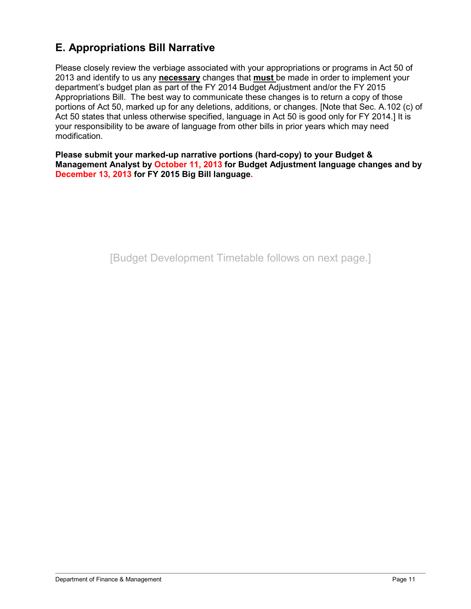# **E. Appropriations Bill Narrative**

Please closely review the verbiage associated with your appropriations or programs in Act 50 of 2013 and identify to us any **necessary** changes that **must** be made in order to implement your department's budget plan as part of the FY 2014 Budget Adjustment and/or the FY 2015 Appropriations Bill. The best way to communicate these changes is to return a copy of those portions of Act 50, marked up for any deletions, additions, or changes. [Note that Sec. A.102 (c) of Act 50 states that unless otherwise specified, language in Act 50 is good only for FY 2014.] It is your responsibility to be aware of language from other bills in prior years which may need modification.

**Please submit your marked-up narrative portions (hard-copy) to your Budget & Management Analyst by October 11, 2013 for Budget Adjustment language changes and by December 13, 2013 for FY 2015 Big Bill language.**

[Budget Development Timetable follows on next page.]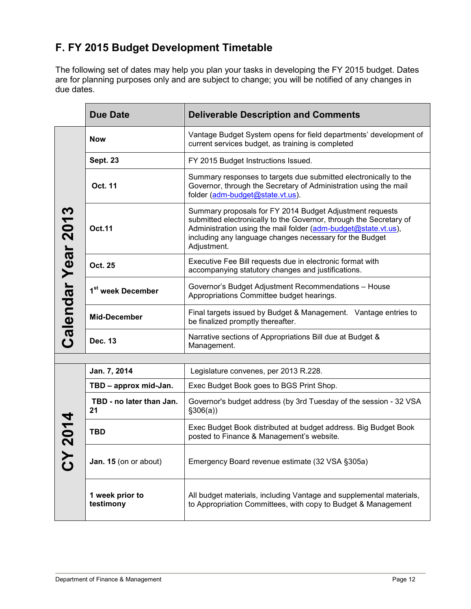# **F. FY 2015 Budget Development Timetable**

The following set of dates may help you plan your tasks in developing the FY 2015 budget. Dates are for planning purposes only and are subject to change; you will be notified of any changes in due dates.

|                    | <b>Due Date</b>                | <b>Deliverable Description and Comments</b>                                                                                                                                                                                                                                |  |  |  |  |  |
|--------------------|--------------------------------|----------------------------------------------------------------------------------------------------------------------------------------------------------------------------------------------------------------------------------------------------------------------------|--|--|--|--|--|
|                    | <b>Now</b>                     | Vantage Budget System opens for field departments' development of<br>current services budget, as training is completed                                                                                                                                                     |  |  |  |  |  |
|                    | <b>Sept. 23</b>                | FY 2015 Budget Instructions Issued.                                                                                                                                                                                                                                        |  |  |  |  |  |
|                    | Oct. 11                        | Summary responses to targets due submitted electronically to the<br>Governor, through the Secretary of Administration using the mail<br>folder (adm-budget@state.vt.us).                                                                                                   |  |  |  |  |  |
| Calendar Year 2013 | <b>Oct.11</b>                  | Summary proposals for FY 2014 Budget Adjustment requests<br>submitted electronically to the Governor, through the Secretary of<br>Administration using the mail folder (adm-budget@state.vt.us),<br>including any language changes necessary for the Budget<br>Adjustment. |  |  |  |  |  |
|                    | Oct. 25                        | Executive Fee Bill requests due in electronic format with<br>accompanying statutory changes and justifications.                                                                                                                                                            |  |  |  |  |  |
|                    | 1 <sup>st</sup> week December  | Governor's Budget Adjustment Recommendations - House<br>Appropriations Committee budget hearings.                                                                                                                                                                          |  |  |  |  |  |
|                    | <b>Mid-December</b>            | Final targets issued by Budget & Management. Vantage entries to<br>be finalized promptly thereafter.                                                                                                                                                                       |  |  |  |  |  |
|                    | Dec. 13                        | Narrative sections of Appropriations Bill due at Budget &<br>Management.                                                                                                                                                                                                   |  |  |  |  |  |
|                    |                                |                                                                                                                                                                                                                                                                            |  |  |  |  |  |
|                    | Jan. 7, 2014                   | Legislature convenes, per 2013 R.228.                                                                                                                                                                                                                                      |  |  |  |  |  |
|                    | TBD - approx mid-Jan.          | Exec Budget Book goes to BGS Print Shop.                                                                                                                                                                                                                                   |  |  |  |  |  |
|                    | TBD - no later than Jan.<br>21 | Governor's budget address (by 3rd Tuesday of the session - 32 VSA<br>\$306(a)                                                                                                                                                                                              |  |  |  |  |  |
| 2014               | <b>TBD</b>                     | Exec Budget Book distributed at budget address. Big Budget Book<br>posted to Finance & Management's website.                                                                                                                                                               |  |  |  |  |  |
|                    | Jan. 15 (on or about)          | Emergency Board revenue estimate (32 VSA §305a)                                                                                                                                                                                                                            |  |  |  |  |  |
|                    | 1 week prior to<br>testimony   | All budget materials, including Vantage and supplemental materials,<br>to Appropriation Committees, with copy to Budget & Management                                                                                                                                       |  |  |  |  |  |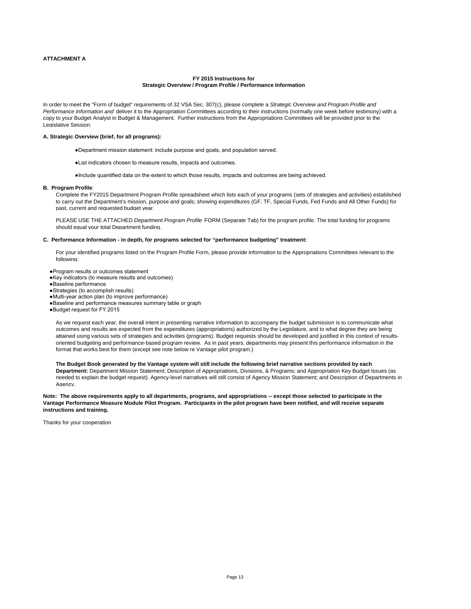#### **ATTACHMENT A**

#### **FY 2015 Instructions for Strategic Overview / Program Profile / Performance Information**

In order to meet the "Form of budget" requirements of 32 VSA Sec. 307(c), please complete a *Strategic Overview and Program Profile and Performance Information and* deliver it to the Appropriation Committees according to their instructions (normally one week before testimony) with a copy to your Budget Analyst in Budget & Management. Further instructions from the Appropriations Committees will be provided prior to the Legislative Session.

#### **A. Strategic Overview (brief, for all programs):**

- ●Department mission statement: include purpose and goals, and population served.
- ●List indicators chosen to measure results, impacts and outcomes.
- ●Include quantified data on the extent to which those results, impacts and outcomes are being achieved.

#### **B. Program Profile**:

Complete the FY2015 Department Program Profile spreadsheet which lists each of your programs (sets of strategies and activities) established to carry out the Department's mission, purpose and goals; showing expenditures (GF, TF, Special Funds, Fed Funds and All Other Funds) for past, current and requested budget year.

PLEASE USE THE ATTACHED *Department Program Profile* FORM (Separate Tab) for the program profile. The total funding for programs should equal your total Department funding.

#### **C. Performance Information - in depth, for programs selected for "performance budgeting" treatment:**

For your identified programs listed on the Program Profile Form, please provide information to the Appropriations Committees relevant to the following:

- ●Program results or outcomes statement
- ●Key indicators (to measure results and outcomes)
- ●Baseline performance
- ●Strategies (to accomplish results)
- ●Multi-year action plan (to improve performance)
- ●Baseline and performance measures summary table or graph

●Budget request for FY 2015

As we request each year, the overall intent in presenting narrative information to accompany the budget submission is to communicate what outcomes and results are expected from the expenditures (appropriations) authorized by the Legislature, and to what degree they are being attained using various sets of strategies and activities (programs). Budget requests should be developed and justified in this context of resultsoriented budgeting and performance-based program review. As in past years, departments may present this performance information in the format that works best for them (except see note below re Vantage pilot program.)

**The Budget Book generated by the Vantage system will still include the following brief narrative sections provided by each Department:** Department Mission Statement; Description of Appropriations, Divisions, & Programs; and Appropriation Key Budget Issues (as needed to explain the budget request). Agency-level narratives will still consist of Agency Mission Statement; and Description of Departments in Agency

**Note: The above requirements apply to all departments, programs, and appropriations -- except those selected to participate in the Vantage Performance Measure Module Pilot Program. Participants in the pilot program have been notified, and will receive separate instructions and training.**

Thanks for your cooperation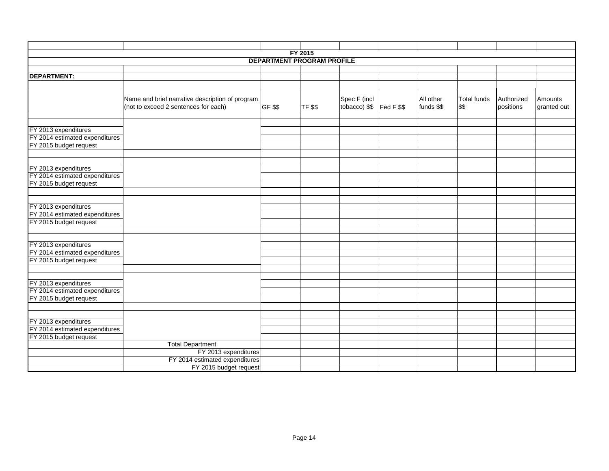|                                                                                  |                                                                                         |                | FY 2015        |                                        |  |                         |                     |                         |                        |
|----------------------------------------------------------------------------------|-----------------------------------------------------------------------------------------|----------------|----------------|----------------------------------------|--|-------------------------|---------------------|-------------------------|------------------------|
|                                                                                  | <b>DEPARTMENT PROGRAM PROFILE</b>                                                       |                |                |                                        |  |                         |                     |                         |                        |
|                                                                                  |                                                                                         |                |                |                                        |  |                         |                     |                         |                        |
| <b>DEPARTMENT:</b>                                                               |                                                                                         |                |                |                                        |  |                         |                     |                         |                        |
|                                                                                  |                                                                                         |                |                |                                        |  |                         |                     |                         |                        |
|                                                                                  | Name and brief narrative description of program<br>(not to exceed 2 sentences for each) | <b>GF \$\$</b> | <b>TF \$\$</b> | Spec F (incl<br>tobacco) $$$ Fed F $$$ |  | All other<br>funds \$\$ | Total funds<br>\$\$ | Authorized<br>positions | Amounts<br>granted out |
|                                                                                  |                                                                                         |                |                |                                        |  |                         |                     |                         |                        |
| FY 2013 expenditures<br>FY 2014 estimated expenditures<br>FY 2015 budget request |                                                                                         |                |                |                                        |  |                         |                     |                         |                        |
|                                                                                  |                                                                                         |                |                |                                        |  |                         |                     |                         |                        |
| FY 2013 expenditures<br>FY 2014 estimated expenditures<br>FY 2015 budget request |                                                                                         |                |                |                                        |  |                         |                     |                         |                        |
|                                                                                  |                                                                                         |                |                |                                        |  |                         |                     |                         |                        |
| FY 2013 expenditures<br>FY 2014 estimated expenditures<br>FY 2015 budget request |                                                                                         |                |                |                                        |  |                         |                     |                         |                        |
|                                                                                  |                                                                                         |                |                |                                        |  |                         |                     |                         |                        |
| FY 2013 expenditures<br>FY 2014 estimated expenditures                           |                                                                                         |                |                |                                        |  |                         |                     |                         |                        |
| FY 2015 budget request                                                           |                                                                                         |                |                |                                        |  |                         |                     |                         |                        |
|                                                                                  |                                                                                         |                |                |                                        |  |                         |                     |                         |                        |
| FY 2013 expenditures<br>FY 2014 estimated expenditures                           |                                                                                         |                |                |                                        |  |                         |                     |                         |                        |
| FY 2015 budget request                                                           |                                                                                         |                |                |                                        |  |                         |                     |                         |                        |
|                                                                                  |                                                                                         |                |                |                                        |  |                         |                     |                         |                        |
|                                                                                  |                                                                                         |                |                |                                        |  |                         |                     |                         |                        |
| FY 2013 expenditures<br>FY 2014 estimated expenditures                           |                                                                                         |                |                |                                        |  |                         |                     |                         |                        |
| FY 2015 budget request                                                           |                                                                                         |                |                |                                        |  |                         |                     |                         |                        |
|                                                                                  | <b>Total Department</b>                                                                 |                |                |                                        |  |                         |                     |                         |                        |
|                                                                                  | FY 2013 expenditures                                                                    |                |                |                                        |  |                         |                     |                         |                        |
|                                                                                  | FY 2014 estimated expenditures                                                          |                |                |                                        |  |                         |                     |                         |                        |
|                                                                                  | FY 2015 budget request                                                                  |                |                |                                        |  |                         |                     |                         |                        |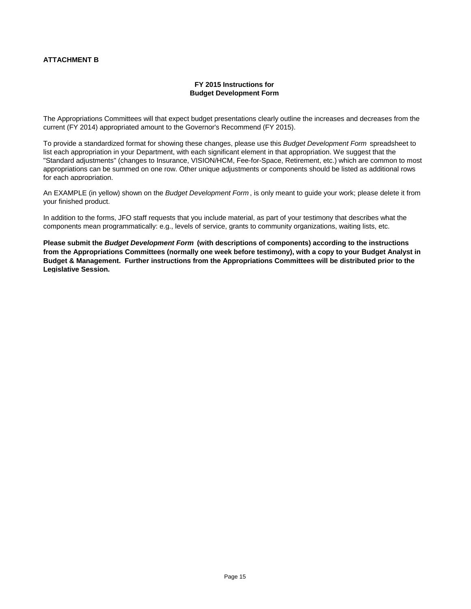#### **ATTACHMENT B**

#### **FY 2015 Instructions for Budget Development Form**

The Appropriations Committees will that expect budget presentations clearly outline the increases and decreases from the current (FY 2014) appropriated amount to the Governor's Recommend (FY 2015).

To provide a standardized format for showing these changes, please use this *Budget Development Form* spreadsheet to list each appropriation in your Department, with each significant element in that appropriation. We suggest that the "Standard adjustments" (changes to Insurance, VISION/HCM, Fee-for-Space, Retirement, etc.) which are common to most appropriations can be summed on one row. Other unique adjustments or components should be listed as additional rows for each appropriation.

An EXAMPLE (in yellow) shown on the *Budget Development Form* , is only meant to guide your work; please delete it from your finished product.

In addition to the forms, JFO staff requests that you include material, as part of your testimony that describes what the components mean programmatically: e.g., levels of service, grants to community organizations, waiting lists, etc.

**Please submit the** *Budget Development Form* **(with descriptions of components) according to the instructions from the Appropriations Committees (normally one week before testimony), with a copy to your Budget Analyst in Budget & Management. Further instructions from the Appropriations Committees will be distributed prior to the Legislative Session.**